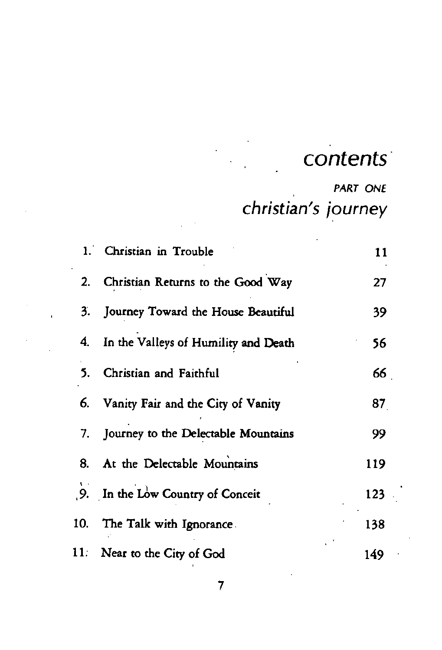# *contents"*

## *PART ONE christian's journey*

<span id="page-0-0"></span>

|    | 1. Christian in Trouble              | 11              |
|----|--------------------------------------|-----------------|
|    | 2. Christian Returns to the Good Way | 27              |
| 3. | Journey Toward the House Beautiful   | 39              |
| 4. | In the Valleys of Humility and Death | 56              |
|    | 5. Christian and Faithful            | 66              |
| 6. | Vanity Fair and the City of Vanity   | 87 <sub>1</sub> |
| 7. | Journey to the Delectable Mountains  | 99              |
| 8. | At the Delectable Mountains          | 119             |
|    | 9. In the Low Country of Conceit     | 123             |
|    | 10. The Talk with Ignorance.         | 138             |
|    | 11. Near to the City of God          | 149             |

7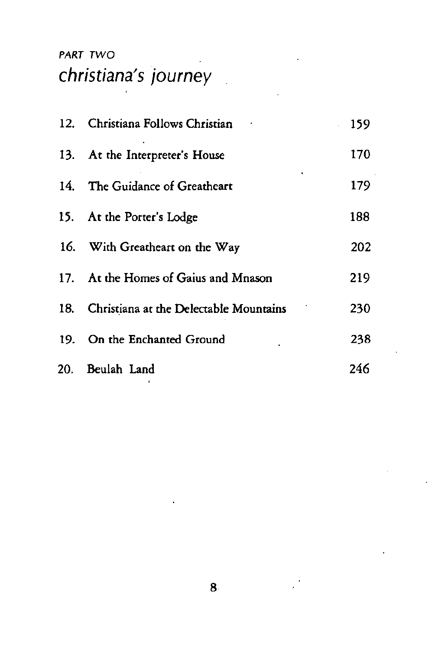## PART TWO christiana's journey

| 12. Christiana Follows Christian<br>k.     | 159 |
|--------------------------------------------|-----|
| 13. At the Interpreter's House             | 170 |
| 14. The Guidance of Greatheart             | 179 |
| 15. At the Porter's Lodge                  | 188 |
| 16. With Greatheart on the Way             | 202 |
| 17. At the Homes of Gaius and Mnason       | 219 |
| 18. Christiana at the Delectable Mountains | 230 |
| 19. On the Enchanted Ground                | 238 |
| 20. Beulah Land                            | 246 |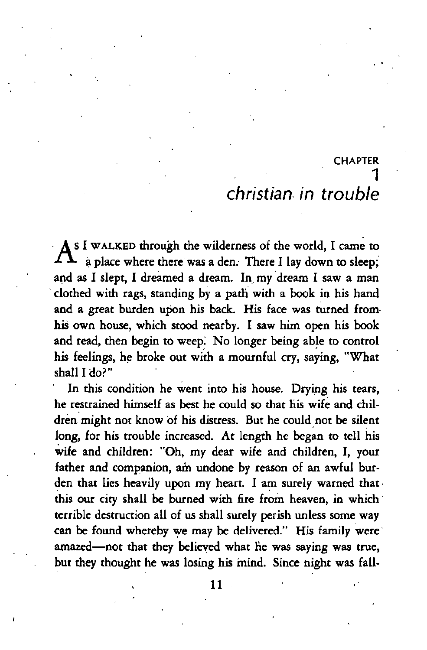#### **CHAPTER** 1

## *[christian in trouble](#page-0-0)*

<span id="page-2-0"></span> $\Lambda$  s I WALKED through the wilderness of the world, I came to a place where there was a den. There I lay down to sleep; and as I slept, I dreamed a dream. In my dream I saw a man , clothed with rags, standing by a path with a book in his hand and a great burden upon his back. His face was turned fromhis own house, which stood nearby. I saw him open his book and read, then begin to weep: No longer being able to control his feelings, he broke out with a mournful cry, saying, "What shall I do?"

In this condition he went into his house. Drying his tears, he restrained himself as best he could so that his wife and children might not know of his distress. But he could not be silent long, for his trouble increased. At length he began to tell his wife and children: "Oh, my dear wife and children, I, your father and companion, am undone by reason of an awful butden that lies heavily upon my heart. I am surely warned that, this our city shall be burned with fire from heaven, in which' terrible destruction all of us shall surely perish unless some way can be found whereby we may be delivered." His family were amazed-not that they believed what he was saying was true, but they thought he was losing his mind. Since night was fall-

11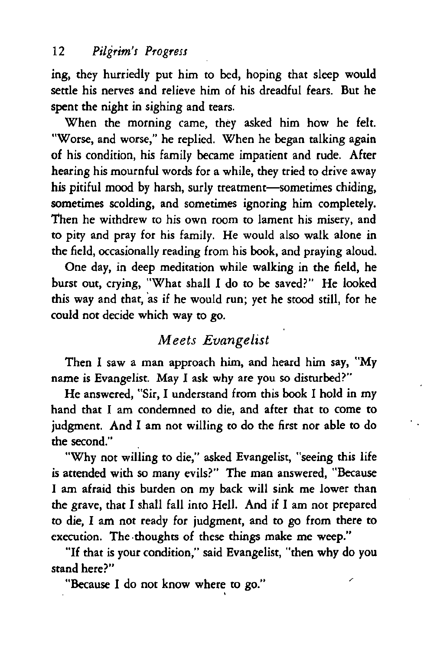ing, they hurriedly put him to bed, hoping that sleep would settle his nerves and relieve him of his dreadful fears. But he spent the night in sighing and tears.

When the morning came, they asked him how he felt. "Worse, and worse," he replied. When he began talking again of his condition, his family became impatient and rude. After hearing his mournful words for a while, they tried to drive away his pitiful mood by harsh, surly treatment-sometimes chiding, sometimes scolding, and sometimes ignoring him completely. Then he withdrew to his own room to lament his misery, and to pity and pray fot his family. He would also walk alone in the field, occasionally reading from his book, and praying aloud.

One day, in deep meditation while walking in the field, he burst out, crying, "What shall I do to be saved?" He looked this way and that, 'as if he would run; yet he stood still, for he could not decide which way to go.

### *Meets Evangelist*

Then I saw a man approach him, and heard him say, "My name is Evangelist. May I ask why are you so disturbed?"

He answered, "Sir, I understand from this book I hold in my hand that I am condemned to die, and after that to come to judgment. And I am not willing to do the first nor able to do the second."

"Why not willing to die," asked Evangelist, "seeing this life is attended with so many evils?" The man answered, "Because I am afraid this burden on my back will sink me lower than the grave, that I shall fall into Hell. And if I am not prepared to die, I am not ready for judgment, and to go from there to execution. The. thoughts of these things make me weep."

"If that is your condition," said Evangelist, "then why do you stand here?"

"Because I do not know where to go."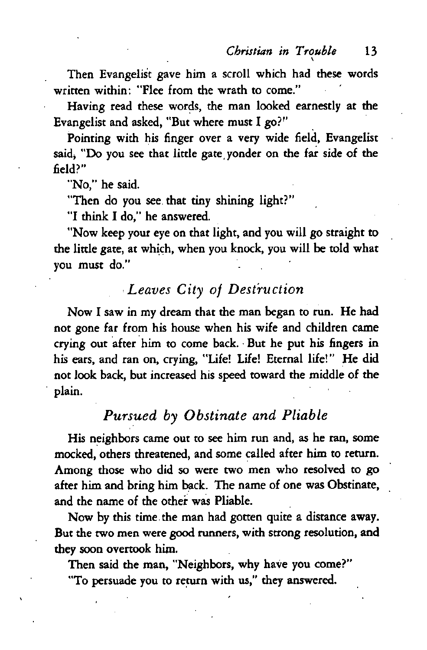Then Evangelist gave him a scroll which had these words written within: "Flee from the wrath to come."

Having read these words, the man looked earnestly at the Evangelist and asked, "But where must I go?"

Pointing with his finger over a very wide field, Evangelist said, "Do you see that little gate, yonder on the far side of the field?"

"No," he said.

"Then do you see. that tiny shining light?"

"I think I do," he answered.

"Now keep your eye on that light, and you will go straight to the little gate, at which, when you knock, you will be told what you must do."

### *,Leaves City of Destruction*

Now I saw in my dream that the man began to run. He had not gone far from his house when his wife and children came crying out after him to come back. But he put his fingers in his ears, and ran on, crying, "Life! Life! Eternal life!" He did not look back, but increased his speed toward the middle of the plain.

## *Pursued by Obstinate and Pliable*

His neighbors came out to see him run and, as he ran, some mocked, others threatened, and some called after him to return. Among those who did so were two men who resolved to go after him and bring him back. The name of one was Obstinate, and the name of the other was Pliable.

Now by this time. the man had gotten quite a distance away. But the two men were good runners, with strong resolution, and they soon overcook him.

Then said the man, "Neighbors, why have you come?"

"To persuade you to return with us," they answered.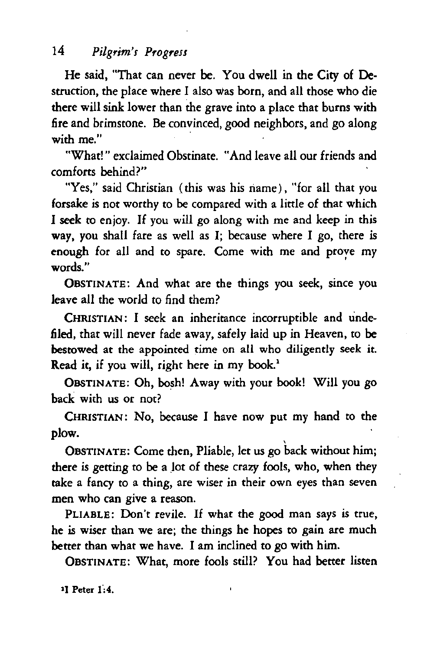He said, "That can never be. You dwell in the City of Destruction, the place where I also was born, and all those who die there will sink lower than the grave into a place that burns with fire and brimstone. Be convinced, good neighbors, and go along **with me,"** 

"What!" exclaimed Obstinate. "And leave all our friends and comforts behind?"

"Yes," said Christian (this was his name), "for all that you forsake is not worthy to be compared with a little of that which I seek to enjoy. If you will go along with me and keep in this way, you shall fare as well as I; because where I go, there is enough for all and to spare. Come with me and prove my **words."** 

OBSTINATE: And what are the things you seek, since you leave all the world to find them?

CHRISTIAN: I seek an inheritance incorruptible and undefiled, that will never fade away, safely laid up in Heaven, to be bestowed at the appointed time on all who diligently seek it. Read it, if you will, right here in my book.'

OBSTINATE: Oh, bosh! Away with your book! Will you go back with us or not?

CHRISTIAN: No, because I have now put my hand to the plow.

OBSTINATE: Come then, Pliable, let us go back without him; there is getting to be a lot of these crazy fools, who, when they take a fancy to a thing, are wiser in their own eyes than seven men who can give a reason.

PLIABLE: Don't revile. If what the good man says is true, he is wiser than we are; the things he hopes to gain are much better than what we have. I am inclined to go with him.

OBSTINATE: What, more fools still? You had better listen

**'1 Peter f:4.**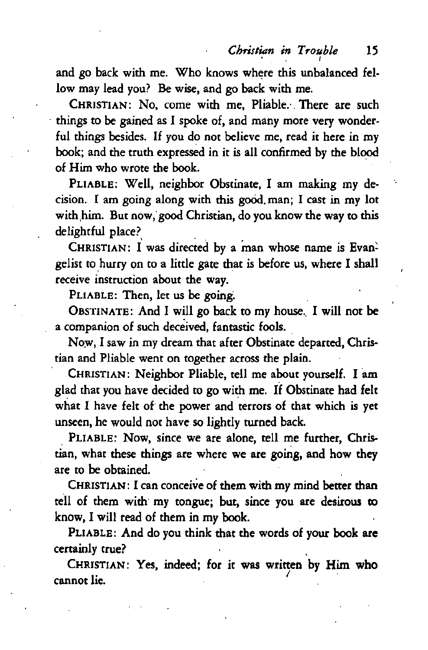*Christian* in *Trouble 15* {

and go back with me. Who knows where this unbalanced fellow may lead you? Be wise, and go back with me.

CHRISTIAN: No, come with me, Pliable:, There are such things to be gained as I spoke of, and many more very wonderful things besides. If you do not believe me, read it here in my book; and the truth expressed in it is all confirmed by the blood of Him who wrote the book.

PLIABLE: Well, neighbor Obstinate, I am making my decision. I am going along with this good. man; I cast in my lot with him. But now, good Christian, do you know the way to this delightful place?

CHRISTIAN: I was directed by a man whose name is Evan<sup>2</sup> gelist to hurry on to a little gate that is before us, where I shall receive instruction about the way.

PLIABLE: Then, let us be going.

OBSTINATE: And I will go back to my house., I will not be a companion of such deceived, fantastic fools.

Now, I saw in my dream that after Obstinate departed, Christian and Pliable went on together across the plain.

CHRISTIAN: Neighbor Pliable, tell me about yourself. I am glad that you have decided to go with me. If Obstinate had felt what I have felt of the power and terrors of that which is yet unseen, he would not have so lightly turned back.

PLIABLE: Now, since we are alone, tell me further, Christian, what these things are where we are going, and how they are to be obtained.

CHRISTIAN: I can conceive of them with my mind better than tell of them with my tongue; but, since you are desirous to know, I will read of them in my book.

PLIABLE: And do you think that the words of your book are certainly true?

CHRISTIAN : Yes, indeed; for it was written by Him who  $Cannot$  lie.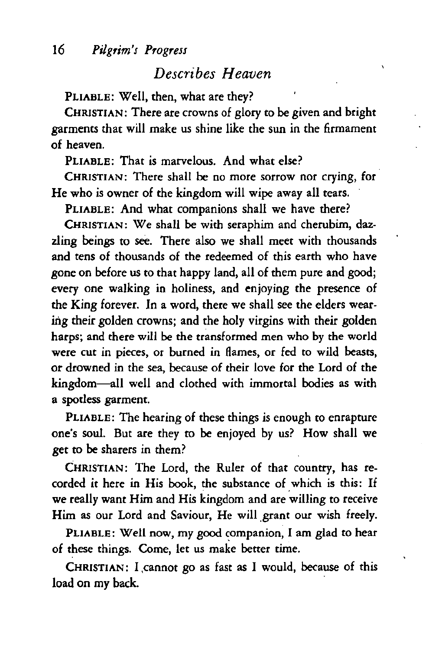### *Describes Heaven*

PLIABLE: Well, then, what are they?

CHRISTIAN: There are crowns of glory to be given and bright garments that will make us shine like the sun in the firmament of heaven.

PLIABLE: That is marvelous. And what else?

CHRISTIAN: There shall be no more sorrow nor crying, for He who is owner of the kingdom will wipe away all tears.

PLIABLE: And what companions shall we have there?

CHRISTIAN: We shall be with seraphim and cherubim, dazzling beings to see. There also we shall meet with thousands and tens of thousands of the redeemed of this earth who have gone on before us to that happy land, all of them pure and good; every one walking in holiness, and enjoying the presence of the King forever. In a word, there we shall see the elders wearing their golden crowns; and the holy virgins with their golden harps; and there will be the transformed men who by the world were cut in pieces, or burned in Hames, or fed to wild beasts, or drowned in the sea, because of their love for the Lord of the kingdom-all well and clothed with immortal bodies as with a spotless garment.

PLIABLE: The hearing of these things is enough to enrapture one's soul. But are they to be enjoyed by us? How shall we get to be sharers in them?

CHRISTIAN: The Lord, the Ruler of that country, has recorded it here in His book, the substance of which is this: If we really want Him and His kingdom and are willing to receive Him as our Lord and Saviour, He will grant our wish freely.

PLIABLE: Well now, my good companion, I am glad to hear of these things. Come, let us make better time.

CHRISTIAN: I ,cannot go as fast as I would, because of this load on my back.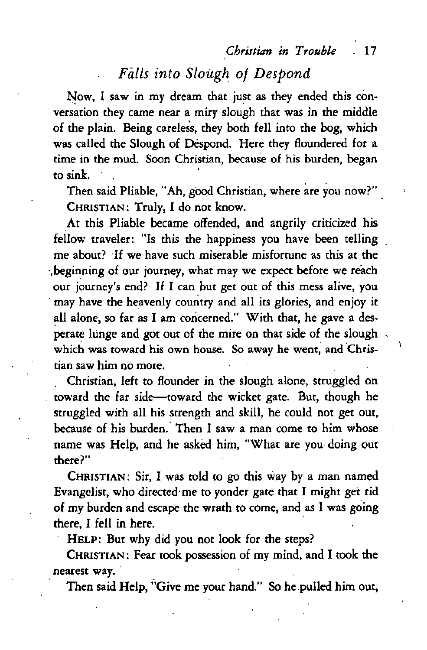## *Falls into Slough of Despond*

Now, I saw in my dream that just as they ended this conversation they came near a miry slough that was in the middle of the plain. Being careless, they both fell into the bog, which was called the Slough of Despond. Here they floundered for a time in the mud. Soon Christian, because of his burden, began to sink. '

Then said Pliable, "Ah, good Christian, where are you now?" CHRISTIAN: Truly, I do not know.

At this Pliable became offended, and angrily criticized his fellow traveler: "Is this the happiness you have been telling me about? If we have such miserable misforrune as this at the beginning of our journey, what may we expect before we reach our journey's end? If I can but get out of this mess alive, you may have the heavenly country and all its glories, and enjoy it all alone, so far as I am concerned." With that, he gave a desperate lunge and got out of the mire on that side of the slough. which was toward his own house. So away he went, and Christian saw him no more.

Christian, left to flounder in the slough alone, struggled on toward the far side-toward the wicket gate. But, though he struggled with all his strength and skill, he could not get out, because of his burden.' Then I saw a man come to him whose name was Help, and he asked him, "What are you doing out there?"

CHRISTIAN: Sir, I was told to go this way by a man named Evangelist, who directed, me to yonder gate that I might get rid of my burden and escape the wrath to come, and as I was going there, I fell in here.

HELP: But why did you not look for the steps?

CHRISTIAN: Fear took possession of my mind, and I took the nearest way.

Then said Help, "Give me your hand." So he pulled him out,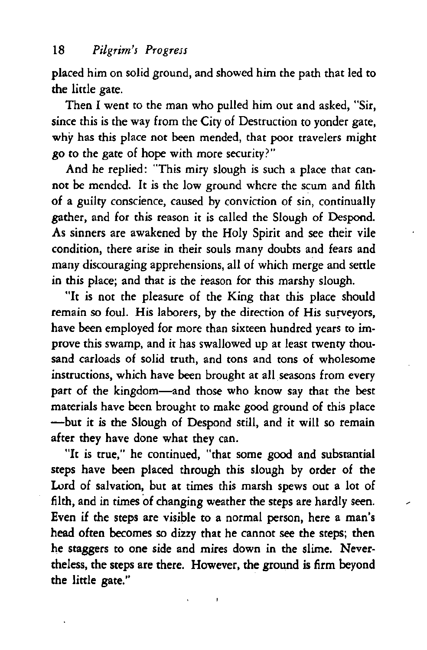placed him on solid ground, and showed him the path that led to the little gate.

Then I went to the man who pulled him out and asked, "Sir, since this is the way from the City of Destruction to yonder gate, why has this place not been mended, that poor travelers might go to the gate of hope with more security?"

And he replied: "This miry slough is such a place that cannot be mended. It is the low ground where the scum and filth of a guilty conscience, caused by conviction of sin, continually gather, and for this reason it is called the Slough of Despond. As sinners are awakened by the Holy Spirit and see their vile condition, there arise in their souls many doubts and fears and many discouraging apprehensions, all of which merge and settle in this place; and that is the reason for this marshy slough.

"It is not the pleasure of the King that this place should remain so foul. His laborers, by the direction of His surveyors, have been employed for more than sixteen hundred years to improve this swamp, and it has swallowed up at least twenty thousand carloads of solid truth, and tons and tons of wholesome instructions, which have been brought at all seasons from every part of the kingdom-and those who know say that the best materials have been brought to make good ground of this place -but it is the Slough of Despond still, and it will so remain after they have done what they can.

"It is true," he continued, "that some good and substantial steps have been placed through this slough by order of the Lord of salvation, but at times this marsh spews out a lot of filth, and in times of changing weather the steps are hardly seen. Even if the steps are visible to a normal person, here a man's head often becomes so dizzy that he cannot see the steps; then he staggers to one side and mires down in the slime. Nevertheless, the steps are there. However, the ground is firm beyond the little gate."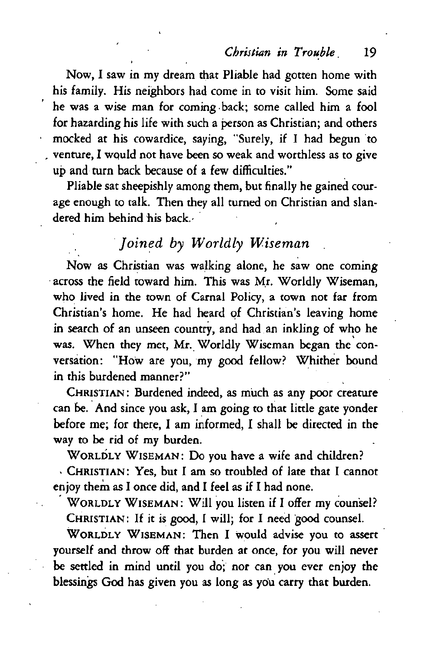Now, I saw in my dream that Pliable had gotten home with his family. His neighbors had come in co visit him. Some said he was a wise man for coming. back; some called him a fool for hazarding his life with such a person as Christian; and others mocked at his cowardice, saying, "Surely, if I had begun to . venture, I wQuld not have been so weak and worthless as co give up and turn back because of a few difficulties."

Pliable sat sheepishly among them, but finally he gained courage enough to talk. Then they all turned on Christian and slandered him behind his back.<sup>1</sup>

### *Joined by Worldly Wiseman*

Now as Christian was walking alone, he saw one coming . across the field coward him. This was Mr. Worldly Wiseman, who lived in the cown of Carnal Policy, a cown not far from Christian's home. He had heard qf Christian's leaving home in search of an unseen country, and had an inkling of who he was. When they met, Mr. Worldly Wiseman began the conversation: "How are you, my good fellow? Whither bound in this burdened manner?"

CHRISTIAN: Burdened indeed, as much as any poor creature can be. And since you ask, I am going to that little gate yonder before me; for there, I am informed, I shall be directed in the way to be rid of my burden.

WORLDLY WISEMAN: Do you have a wife and children?

. CHRISTIAN: Yes, but I am so troubled of late that I cannot enjoy them as I once did, and I feel as if I had none.

. WORLDLY WISEMAN: Will you listen if I offer my counsel? CHRISTIAN: If it is good, I will; for I need good counsel.

WORLDLY WISEMAN: Then I would advise you to assert yourself and throw off that burden at once, for you will never be settled in mind until you do'; nor can you ever en joy the blessings God has given you as long as you carry that burden.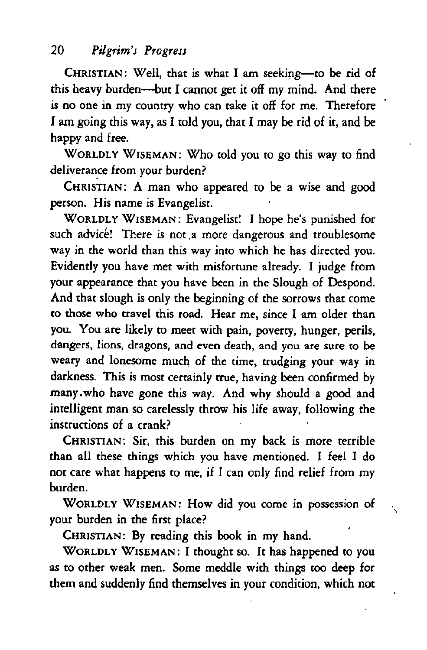CHRISTIAN: Well, that is what I am seeking-to be rid of this heavy burden-but I cannot get it off my mind. And there is no one in my country who can take it off for me. Therefore I am going this way, as I told you, that I may be rid of it, and be happy and free.

WORLDLY WISEMAN: Who told you to go this way to find deliverance from your burden?

CHRISTIAN: A man who appeared to be a wise and good person. His name is Evangelist.

WORLDLY WISEMAN: Evangelist! I hope he's punished for such advice! There is not a more dangerous and troublesome way in the world than this way into which he has directed you. Evidently you have met with misfortune already. I judge from your appearance that you have been in the Slough of Despond. And that slough is only the beginning of the sorrows that come to those who travel this road. Hear me, since I am older than you. You are likely to meet with pain, poverty, hunger, perils, **dangers, lions, dragons, and even death, and you are sure to be**  weary and lonesome much of the time, trudging your way in darkness. This is most certainly true, having been confirmed by many. who have gone this way. And why should a good and intelligent man so carelessly throw his life away, following the instructions of a crank?

CHRISTIAN: Sir, this burden on my back is more terrible than all these things which you have mentioned. I feel I do not care what happens to me, if I can only find relief from my burden.

WORLDLY WISEMAN: How did you come in possession of your burden in the first place?

CHRISTIAN: By reading this book in my hand.

WORLDLY WISEMAN: I thought so. It has happened to you as to other weak men. Some meddle with things too deep for them and suddenly find themselves in your condition, which not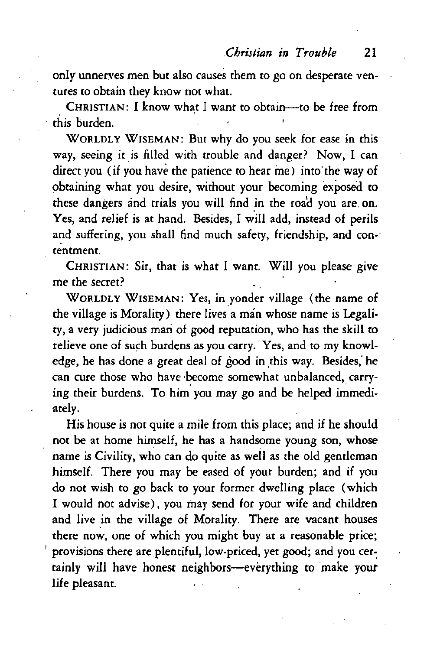only unnerves men but also causes them to go on desperate ventures to obtain they know not what.

CHRISTIAN: I know what I want to obtain-to be free from . this burden.

WORLDLY WISEMAN: But why do you seek for ease in this way, seeing it is filled with trouble and danger? Now, I can direct you (if you have the patience to hear me) into'the way of obtaining what you desire, without your becoming exposed to these dangers and trials you will find in the road you are on. Yes, and relief is at hand. Besides, I w'ill add, instead of perils and suffering, you shall find much safety, friendship, and con-' **tentment.** 

CHRISTIAN: Sir, that is what I want. Will you please give me the secret?

WORLDLY WISEMAN: Yes, in yonder village (the name of the village is Morality) there lives a man whose name is Legality, a very judicious man of good reputation, who has the skill to relieve one of such burdens as you carry. Yes, and to my knowledge, he has done a great deal of good in this way. Besides, he can cure those who have become somewhat unbalanced, carrying their burdens. To him you may go and be helped immediately.

His house is not quite a mile from this place; and if he should not be at home himself, he has a handsome young son, whose name is Civility, who can do quite as well as the old gentleman himself. There you may be eased of your burden; and if you do not wish to go back to your former dwelling place (which I would not advise), you may send for your wife and children and live in the village of Morality. There are vacant houses there now, one of which you might buy at a reasonable price; provisions there are plentiful, low-priced, yet good; and you certainly will have honest neighbors-everything to make yout life pleasant.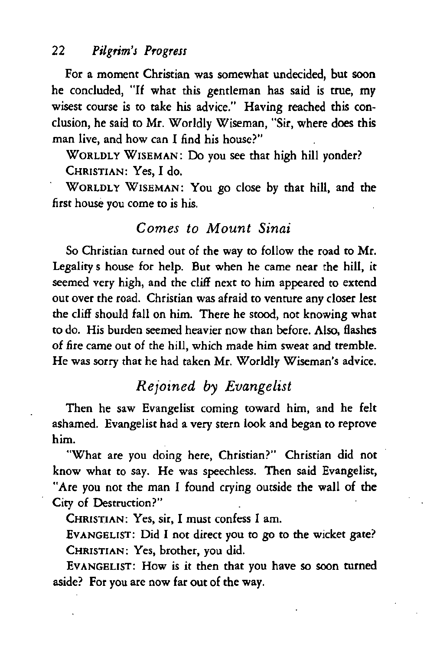For a moment Christian was somewhat undecided, but soon he concluded, "If what this gentleman has said is true, my wisest course is to take his advice." Having reached this conclusion, he said to Mr. Worldly Wiseman, "Sir, where does this man live, and how can I find his house?"

WORLDLY WISEMAN: Do you see that high hill yonder?

CHRISTIAN: Yes, I do.

WORLDLY WISEMAN: You go close by that hill, and the first house you come to is his.

## *Comes to Mount Sinai*

So Christian turned out of the way to follow the road to Mr. Legality s house for help. But when he came near the hill, it seemed very high, and the cliff next to him appeared to extend out over the road. Christian was afraid to venture any closer lest the cliff should fall on him. There he stood, not knowing what to do. His burden seemed heavier now than before. Also, flashes of fire came out of the hill, which made him sweat and tremble. He was sorry that he had taken Mr. Worldly Wiseman's advice.

## *Rejoined* by *Evangelist*

Then he saw Evangelist coming toward him, and he felt ashamed. Evangelist had a very stern look and began to reprove him.

"What are you doing here, Christian?" Christian did not know what to say. He was speechless. Then said Evangelist, "Are you not the man I found crying outside the wall of the City of Destruction?"

CHRISTIAN: Yes, sir, I must confess I am.

EVANGELIST: Did I not direct you to go to the wicket gate? CHRISTIAN: Yes, brother, you did.

EVANGELIST: How is it then that you have so soon turned aside? For you are now far out of the way.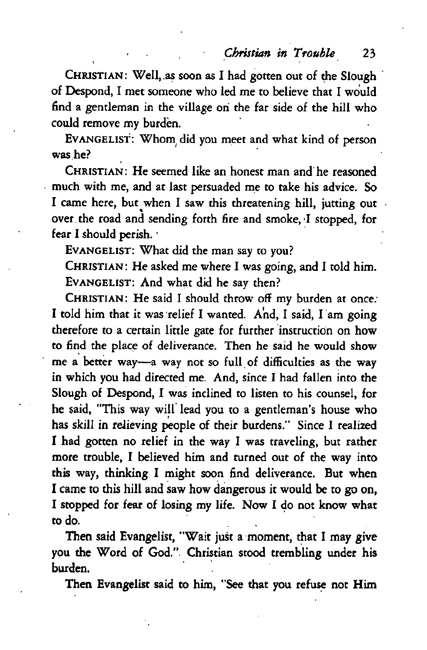CHRISTIAN: Well, as soon as I had gotten out of the Slough of Despond, I met someone who led me to believe that I would find a gentleman in the village on the far side of the hill who could remove my burden.

EVANGELIST: Whom, did you meet and what kind of person was  $he$ ?

CHRISTIAN: He seemed like an honest man and' he reasoned much with me, and at last persuaded me to take his advice. So I came here, but when I saw this threatening hill, jutting out over, the road and sending forth fire and smoke, I stopped, for fear I should perish. ' '

EVANGELIST: What did the man say to you?

CHRISTIAN: He asked me where I was going, and I told him. EVANGELIST: And what did he say then?

CHRISTIAN: He said I should throw off my burden at once: I told him that it was relief I wanted. And, I said, I am going therefore to a certain little gate for further 'instruction on how to find the place of deliverance. Then he said he would show me a better way-a way not so full of difficulties as the way in which you had directed me, And, since I had fallen into the Slough of Despond, I was inclined to listen to his counsel, for he said, "This way will' lead you to a gentleman's house who has skill in relieving people of their burdens." Since I realized I had gotten no relief in the way I was traveling, but rather more trouble, I believed him and turned out of the way into this way, thinking I might soon find deliverance. But when I came to this hill and saw how dangerous it would be to go on, I stopped for fear of losing my life. Now I do not know what to do.

Then said Evangelist, "Wait just a moment, that I may give you the Word of God." Christian srood trembling undet his burden.

Then Evangelist said to him, "See that you refuse not Him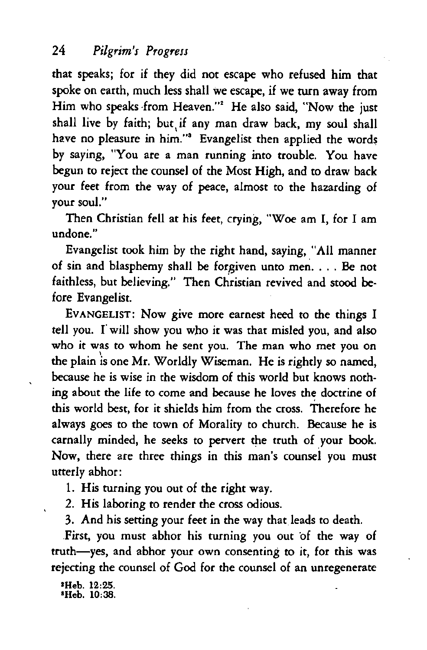that speaks; for if they did not escape who refused him that spoke on earth, much less shall we escape, if we turn away from Him who speaks from Heaven."<sup>2</sup> He also said, "Now the just shall live by faith; but, if any man draw back, my soul shall have no pleasure in him."<sup>3</sup> Evangelist then applied the words by saying, "You are a man running into trouble. You have begun *to* reject the counsel of the Most High, and *to* draw back your feet from the way of peace, almost to the hazarding of your souL"

Then Christian fell at his feet, crying, "Woe am I, for I am **undone,"** 

Evangelist took him by the right hand, saying, "All manner of sin and blasphemy shall be forgiven unto men. . . . Be not faithless, but believing." Then Christian revived and stood before Evangelist.

EVANGELIST: Now give more earnest heed to the things I tell you. I will show you who it was that misled you, and also who it was to whom he sent you. The man who met you on \ the plain is one Mr. Worldly Wiseman. He is rightly so named, because he is wise in the wisdom of this world but knows nothing about the life to come and because he loves the doctrine of this world best, for it shields him from the cross. Therefore he always goes *to* the town of Morality to church. Because he is carnally minded, he seeks to pervert the truth of your book. Now, there are three things in this man's counsel you must utterly abhor:

1. His turning you out of the right way.

2. His laboring *to* render the cross odious.

3. And his setting your feet in the way that leads to death.

First, you must abhor his turning you out 'of the way of truth-yes, and abhor your own consenting *to it,* for this was rejecting the counsel of God for the counsel of an unregenerate

·Heb. 12: 25. 'Heb. 10:38.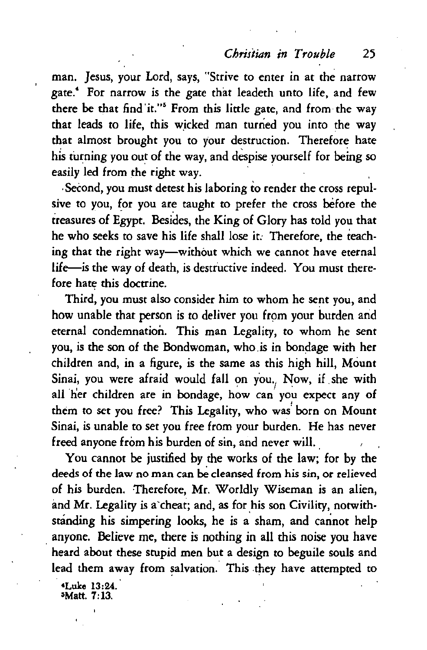man. Jesus, your Lord, says, "Strive to enter in at the narrow gate.<sup>4</sup> For narrow is the gate that leadeth unto life, and few there be that find it."<sup>5</sup> From this little gate, and from the way that leads to life, this wicked man turned you into the way that almost brought you to your destruction. Therefore hate his turning you out of the way, and despise yourself for being so easily led from the right way.

. Second, you must detest his laboring to render the cross repulsive to you, for you are taught to prefer the cross before the treasures of Egypt. Besides, the King of Glory has told you that he who seeks to save his life shall lose it; Therefore, the teaching that the right way-without which we cannot have eternal life-is the way of death, is destructive indeed. You must therefore hate this doctrine.

Third, you must also consider him to whom he sent you, and how unable that person is to deliver you from your burden and eternal condemnation. This man Legality, to whom he sent you, is the son of the Bondwoman, who.is in bondage with her children and, in a figure, is the same as this high hill, Mount Sinai, you were afraid would fall on you., Now, if she with all her children are in bondage, how can you expect any of them to set you free? This Legality, who was' born on Mount Sinai, is unable ro set you free from your burden. He has never freed anyone from his burden of sin, and never will.

You cannot be justified by the works of the law; for by the deeds of the law no man can be cleansed from his sin, or relieved of his burden. Therefore, Mr. Worldly Wiseman is an alien, and Mr. Legality is a'cheat; and, as for his son Civility, notwithstanding his simpering looks, he is a sham, and cannot help anyone. Believe me, there is nothing in all this noise you have heard about these stupid men but a design to beguile souls and lead them away from salvation. This they have attempted to

'Luke 13:24.· 'Matt. 7: 13.